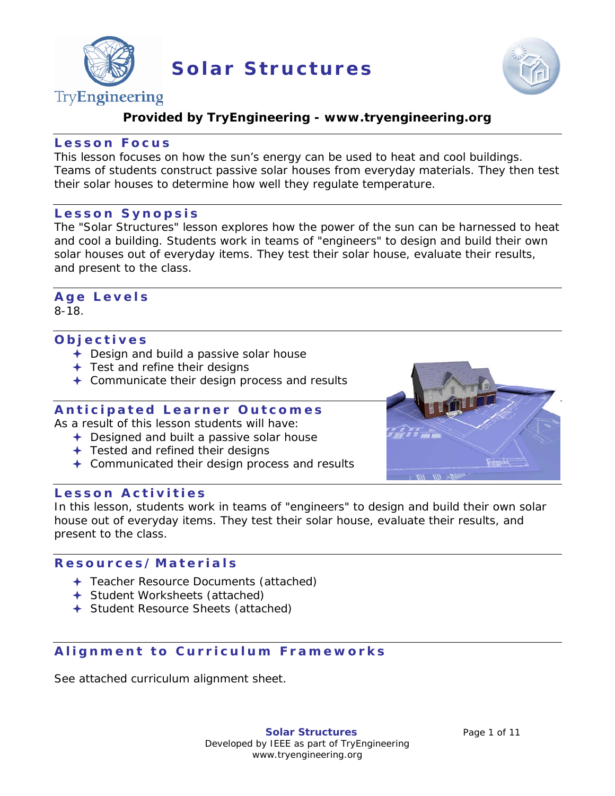

**Solar Structures**



# TryEngineering

# **Provided by TryEngineering - www.tryengineering.org**

## **Lesson Focus**

This lesson focuses on how the sun's energy can be used to heat and cool buildings. Teams of students construct passive solar houses from everyday materials. They then test their solar houses to determine how well they regulate temperature.

#### **Lesson Synopsis**

The "Solar Structures" lesson explores how the power of the sun can be harnessed to heat and cool a building. Students work in teams of "engineers" to design and build their own solar houses out of everyday items. They test their solar house, evaluate their results, and present to the class.

# **Age Level s**

8-18.

# **Objectives**

- ← Design and build a passive solar house
- $+$  Test and refine their designs
- Communicate their design process and results

# **Anticipated Learner Outcomes**

As a result of this lesson students will have:

- **← Designed and built a passive solar house**
- ← Tested and refined their designs
- Communicated their design process and results

# **Lesson Activities**

In this lesson, students work in teams of "engineers" to design and build their own solar house out of everyday items. They test their solar house, evaluate their results, and present to the class.

## **Resources/Materia ls**

- Teacher Resource Documents (attached)
- Student Worksheets (attached)
- Student Resource Sheets (attached)

# **Alignment to Curriculum Frameworks**

See attached curriculum alignment sheet.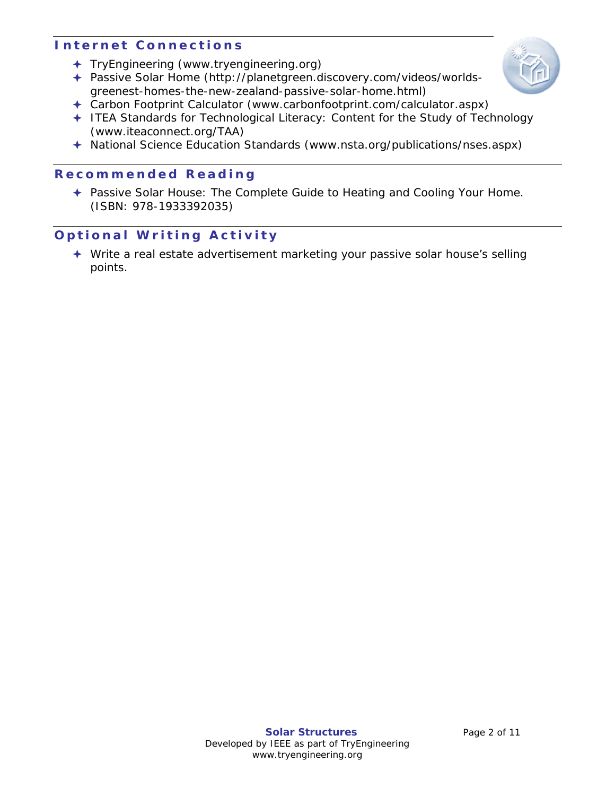# **I nternet Connections**

- TryEngineering (www.tryengineering.org)
- Passive Solar Home [\(http://planetgreen.discovery.com/videos/worlds](http://planetgreen.discovery.com/videos/worlds-greenest-homes-the-new-zealand-passive-solar-home.html)[greenest-homes-the-new-zealand-passive-solar-home.html\)](http://planetgreen.discovery.com/videos/worlds-greenest-homes-the-new-zealand-passive-solar-home.html)



- Carbon Footprint Calculator [\(www.carbonfootprint.com/calculator.aspx\)](http://www.carbonfootprint.com/calculator.aspx)
- ITEA Standards for Technological Literacy: Content for the Study of Technology (www.iteaconnect.org/TAA)
- National Science Education Standards (www.nsta.org/publications/nses.aspx)

## **Recommended R eading**

← Passive Solar House: The Complete Guide to Heating and Cooling Your Home. (ISBN: 978-1933392035)

# **Optional Writing Activity**

 Write a real estate advertisement marketing your passive solar house's selling points.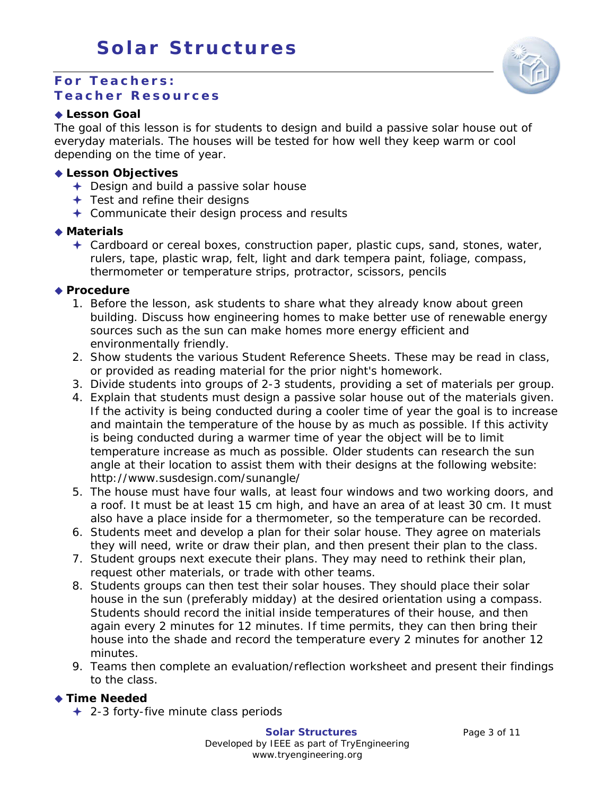#### **For Teachers: Teacher Resources**

#### **Lesson Goal**

The goal of this lesson is for students to design and build a passive solar house out of everyday materials. The houses will be tested for how well they keep warm or cool depending on the time of year.

#### **Lesson Objectives**

- ← Design and build a passive solar house
- $\div$  Test and refine their designs
- **← Communicate their design process and results**

#### **Materials**

 Cardboard or cereal boxes, construction paper, plastic cups, sand, stones, water, rulers, tape, plastic wrap, felt, light and dark tempera paint, foliage, compass, thermometer or temperature strips, protractor, scissors, pencils

#### ◆ Procedure

- 1. Before the lesson, ask students to share what they already know about green building. Discuss how engineering homes to make better use of renewable energy sources such as the sun can make homes more energy efficient and environmentally friendly.
- 2. Show students the various Student Reference Sheets. These may be read in class, or provided as reading material for the prior night's homework.
- 3. Divide students into groups of 2-3 students, providing a set of materials per group.
- 4. Explain that students must design a passive solar house out of the materials given. If the activity is being conducted during a cooler time of year the goal is to increase and maintain the temperature of the house by as much as possible. If this activity is being conducted during a warmer time of year the object will be to limit temperature increase as much as possible. Older students can research the sun angle at their location to assist them with their designs at the following website: http://www.susdesign.com/sunangle/
- 5. The house must have four walls, at least four windows and two working doors, and a roof. It must be at least 15 cm high, and have an area of at least 30 cm. It must also have a place inside for a thermometer, so the temperature can be recorded.
- 6. Students meet and develop a plan for their solar house. They agree on materials they will need, write or draw their plan, and then present their plan to the class.
- 7. Student groups next execute their plans. They may need to rethink their plan, request other materials, or trade with other teams.
- 8. Students groups can then test their solar houses. They should place their solar house in the sun (preferably midday) at the desired orientation using a compass. Students should record the initial inside temperatures of their house, and then again every 2 minutes for 12 minutes. If time permits, they can then bring their house into the shade and record the temperature every 2 minutes for another 12 minutes.
- 9. Teams then complete an evaluation/reflection worksheet and present their findings to the class.

#### **Time Needed**

**← 2-3 forty-five minute class periods** 

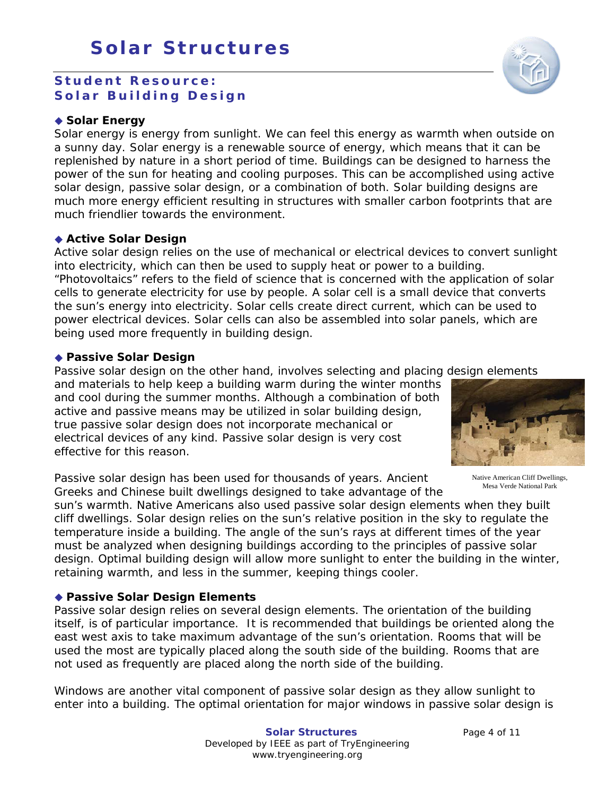## **Student Resource: Solar Building Design**

#### ◆ Solar Energy

Solar energy is energy from sunlight. We can feel this energy as warmth when outside on a sunny day. Solar energy is a renewable source of energy, which means that it can be replenished by nature in a short period of time. Buildings can be designed to harness the power of the sun for heating and cooling purposes. This can be accomplished using active solar design, passive solar design, or a combination of both. Solar building designs are much more energy efficient resulting in structures with smaller carbon footprints that are much friendlier towards the environment.

#### **Active Solar Design**

Active solar design relies on the use of mechanical or electrical devices to convert sunlight into electricity, which can then be used to supply heat or power to a building. "Photovoltaics" refers to the field of science that is concerned with the application of solar cells to generate electricity for use by people. A solar cell is a small device that converts the sun's energy into electricity. Solar cells create direct current, which can be used to power electrical devices. Solar cells can also be assembled into solar panels, which are being used more frequently in building design.

#### **Passive Solar Design**

Passive solar design on the other hand, involves selecting and placing design elements

and materials to help keep a building warm during the winter months and cool during the summer months. Although a combination of both active and passive means may be utilized in solar building design, true passive solar design does not incorporate mechanical or electrical devices of any kind. Passive solar design is very cost effective for this reason.

Passive solar design has been used for thousands of years. Ancient Greeks and Chinese built dwellings designed to take advantage of the

sun's warmth. Native Americans also used passive solar design elements when they built cliff dwellings. Solar design relies on the sun's relative position in the sky to regulate the temperature inside a building. The angle of the sun's rays at different times of the year must be analyzed when designing buildings according to the principles of passive solar design. Optimal building design will allow more sunlight to enter the building in the winter, retaining warmth, and less in the summer, keeping things cooler.

#### **Passive Solar Design Elements**

Passive solar design relies on several design elements. The orientation of the building itself, is of particular importance. It is recommended that buildings be oriented along the east west axis to take maximum advantage of the sun's orientation. Rooms that will be used the most are typically placed along the south side of the building. Rooms that are not used as frequently are placed along the north side of the building.

Windows are another vital component of passive solar design as they allow sunlight to enter into a building. The optimal orientation for major windows in passive solar design is



Native American Cliff Dwellings, Mesa Verde National Park



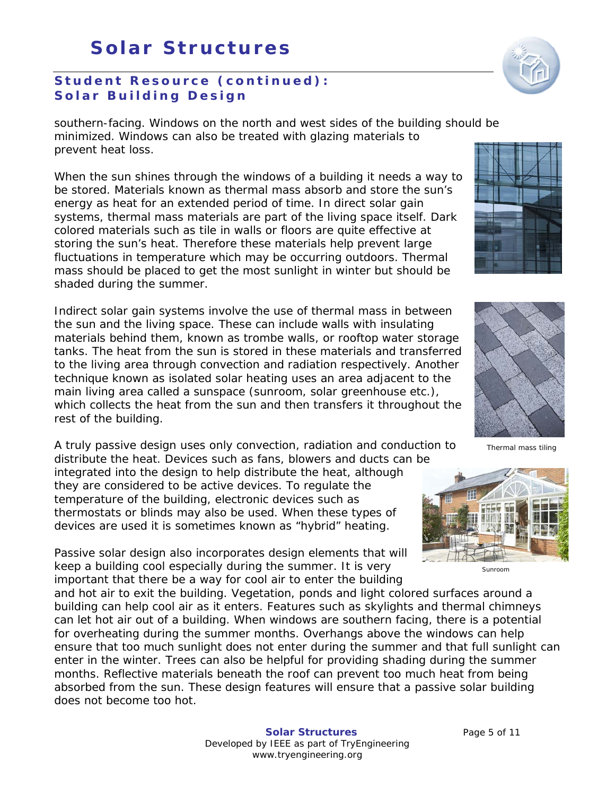# **Student Resource (continued) : Solar Building Design**

southern-facing. Windows on the north and west sides of the building should be minimized. Windows can also be treated with glazing materials to prevent heat loss.

When the sun shines through the windows of a building it needs a way to be stored. Materials known as thermal mass absorb and store the sun's energy as heat for an extended period of time. In direct solar gain systems, thermal mass materials are part of the living space itself. Dark colored materials such as tile in walls or floors are quite effective at storing the sun's heat. Therefore these materials help prevent large fluctuations in temperature which may be occurring outdoors. Thermal mass should be placed to get the most sunlight in winter but should be shaded during the summer.

Indirect solar gain systems involve the use of thermal mass in between the sun and the living space. These can include walls with insulating materials behind them, known as trombe walls, or rooftop water storage tanks. The heat from the sun is stored in these materials and transferred to the living area through convection and radiation respectively. Another technique known as isolated solar heating uses an area adjacent to the main living area called a sunspace (sunroom, solar greenhouse etc.), which collects the heat from the sun and then transfers it throughout the rest of the building.

A truly passive design uses only convection, radiation and conduction to distribute the heat. Devices such as fans, blowers and ducts can be

integrated into the design to help distribute the heat, although they are considered to be active devices. To regulate the temperature of the building, electronic devices such as thermostats or blinds may also be used. When these types of devices are used it is sometimes known as "hybrid" heating.

Passive solar design also incorporates design elements that will keep a building cool especially during the summer. It is very important that there be a way for cool air to enter the building

and hot air to exit the building. Vegetation, ponds and light colored surfaces around a building can help cool air as it enters. Features such as skylights and thermal chimneys can let hot air out of a building. When windows are southern facing, there is a potential for overheating during the summer months. Overhangs above the windows can help ensure that too much sunlight does not enter during the summer and that full sunlight can enter in the winter. Trees can also be helpful for providing shading during the summer months. Reflective materials beneath the roof can prevent too much heat from being absorbed from the sun. These design features will ensure that a passive solar building does not become too hot.





Sunroom



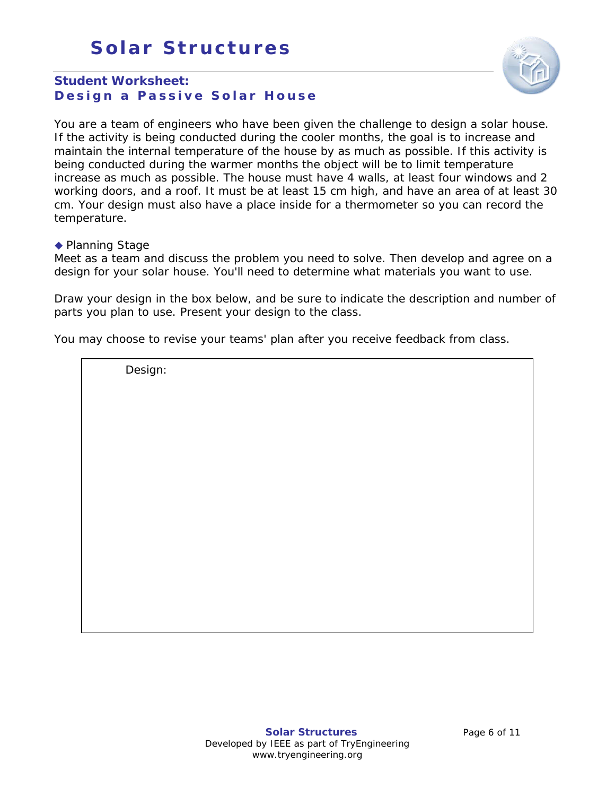# **Solar Structures**



# **Student Worksheet: Design a Passive Solar House**

You are a team of engineers who have been given the challenge to design a solar house. If the activity is being conducted during the cooler months, the goal is to increase and maintain the internal temperature of the house by as much as possible. If this activity is being conducted during the warmer months the object will be to limit temperature increase as much as possible. The house must have 4 walls, at least four windows and 2 working doors, and a roof. It must be at least 15 cm high, and have an area of at least 30 cm. Your design must also have a place inside for a thermometer so you can record the temperature.

◆ Planning Stage

Meet as a team and discuss the problem you need to solve. Then develop and agree on a design for your solar house. You'll need to determine what materials you want to use.

Draw your design in the box below, and be sure to indicate the description and number of parts you plan to use. Present your design to the class.

You may choose to revise your teams' plan after you receive feedback from class.

Design: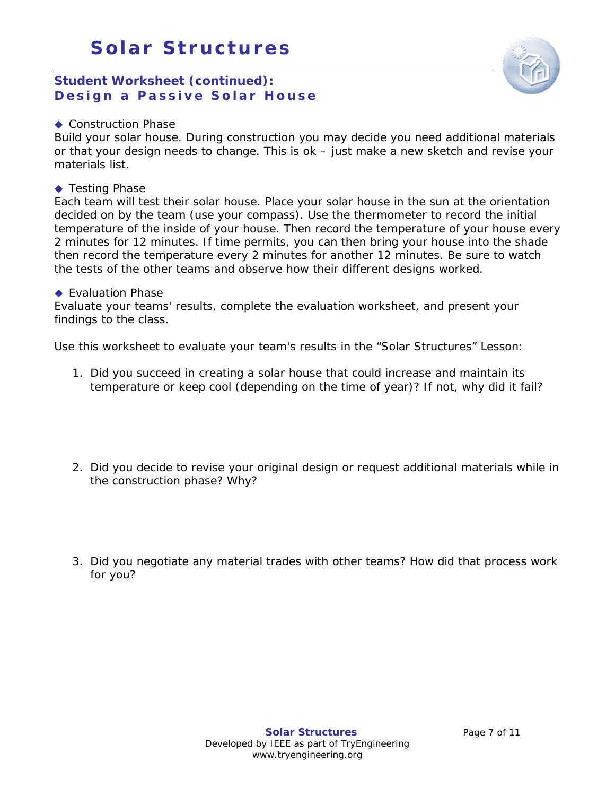## **Student Worksheet (continued): Design a Passive Solar House**



#### ◆ Construction Phase

Build your solar house. During construction you may decide you need additional materials or that your design needs to change. This is ok – just make a new sketch and revise your materials list.

#### ◆ Testing Phase

Each team will test their solar house. Place your solar house in the sun at the orientation decided on by the team (use your compass). Use the thermometer to record the initial temperature of the inside of your house. Then record the temperature of your house every 2 minutes for 12 minutes. If time permits, you can then bring your house into the shade then record the temperature every 2 minutes for another 12 minutes. Be sure to watch the tests of the other teams and observe how their different designs worked.

#### ◆ Evaluation Phase

Evaluate your teams' results, complete the evaluation worksheet, and present your findings to the class.

Use this worksheet to evaluate your team's results in the "Solar Structures" Lesson:

- 1. Did you succeed in creating a solar house that could increase and maintain its temperature or keep cool (depending on the time of year)? If not, why did it fail?
- 2. Did you decide to revise your original design or request additional materials while in the construction phase? Why?
- 3. Did you negotiate any material trades with other teams? How did that process work for you?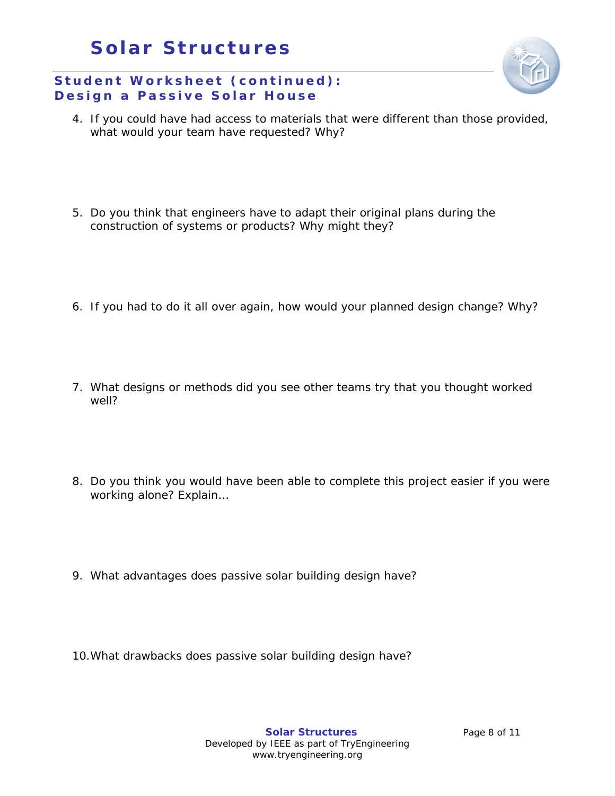# **Solar Structures**

# **Student Worksheet (continued) : Design a Passive Solar House**

- 4. If you could have had access to materials that were different than those provided, what would your team have requested? Why?
- 5. Do you think that engineers have to adapt their original plans during the construction of systems or products? Why might they?
- 6. If you had to do it all over again, how would your planned design change? Why?
- 7. What designs or methods did you see other teams try that you thought worked well?
- 8. Do you think you would have been able to complete this project easier if you were working alone? Explain…
- 9. What advantages does passive solar building design have?
- 10.What drawbacks does passive solar building design have?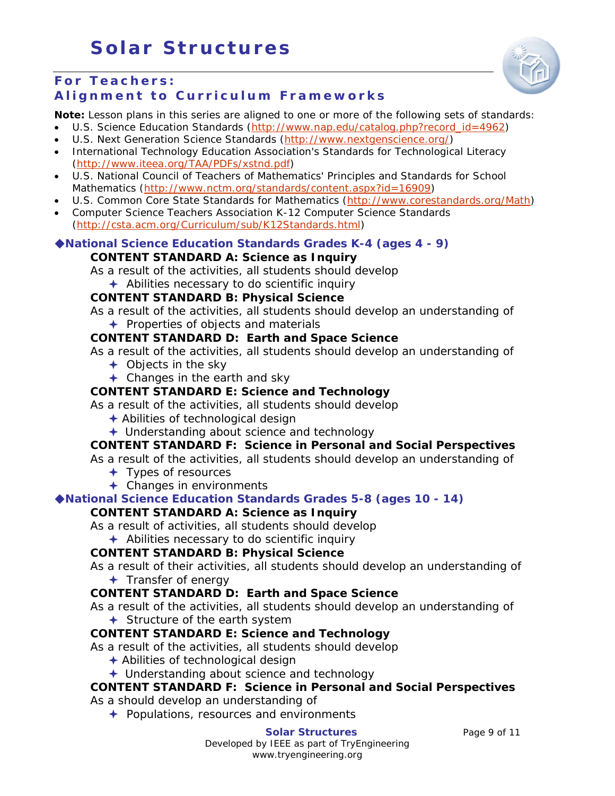

#### **For Teachers: Alignment to Curriculum Frameworks**

**Note:** Lesson plans in this series are aligned to one or more of the following sets of standards:

- U.S. Science Education Standards [\(http://www.nap.edu/catalog.php?record\\_id=4962\)](http://www.nap.edu/catalog.php?record_id=4962)
- U.S. Next Generation Science Standards [\(http://www.nextgenscience.org/\)](http://www.nextgenscience.org/)
- International Technology Education Association's Standards for Technological Literacy [\(http://www.iteea.org/TAA/PDFs/xstnd.pdf\)](http://www.iteea.org/TAA/PDFs/xstnd.pdf)
- U.S. National Council of Teachers of Mathematics' Principles and Standards for School Mathematics [\(http://www.nctm.org/standards/content.aspx?id=16909\)](http://www.nctm.org/standards/content.aspx?id=16909)
- U.S. Common Core State Standards for Mathematics [\(http://www.corestandards.org/Math\)](http://www.corestandards.org/Math)
- Computer Science Teachers Association K-12 Computer Science Standards [\(http://csta.acm.org/Curriculum/sub/K12Standards.html\)](http://csta.acm.org/Curriculum/sub/K12Standards.html)

#### **[National Science Education Standards](http://www.nap.edu/books/0309053269/html/index.html) Grades K-4 (ages 4 - 9) CONTENT STANDARD A: Science as Inquiry**

As a result of the activities, all students should develop

 $\triangle$  Abilities necessary to do scientific inquiry

#### **CONTENT STANDARD B: Physical Science**

As a result of the activities, all students should develop an understanding of

 $\rightarrow$  Properties of objects and materials

# **CONTENT STANDARD D: Earth and Space Science**

As a result of the activities, all students should develop an understanding of

- $\div$  Objects in the sky
- **← Changes in the earth and sky**

#### **CONTENT STANDARD E: Science and Technology**

As a result of the activities, all students should develop

- Abilities of technological design
- Understanding about science and technology

## **CONTENT STANDARD F: Science in Personal and Social Perspectives**

As a result of the activities, all students should develop an understanding of

- $+$  Types of resources
- $\triangleleft$  Changes in environments

#### **[National Science Education Standards](http://www.nap.edu/books/0309053269/html/index.html) Grades 5-8 (ages 10 - 14)**

## **CONTENT STANDARD A: Science as Inquiry**

As a result of activities, all students should develop

 $\triangle$  Abilities necessary to do scientific inquiry

#### **CONTENT STANDARD B: Physical Science**

As a result of their activities, all students should develop an understanding of  $+$  Transfer of energy

## **CONTENT STANDARD D: Earth and Space Science**

As a result of the activities, all students should develop an understanding of

**← Structure of the earth system** 

## **CONTENT STANDARD E: Science and Technology**

As a result of the activities, all students should develop

- $\triangle$  Abilities of technological design
- **← Understanding about science and technology**

# **CONTENT STANDARD F: Science in Personal and Social Perspectives**

As a should develop an understanding of

 $\rightarrow$  Populations, resources and environments

**Solar Structures** Page 9 of 11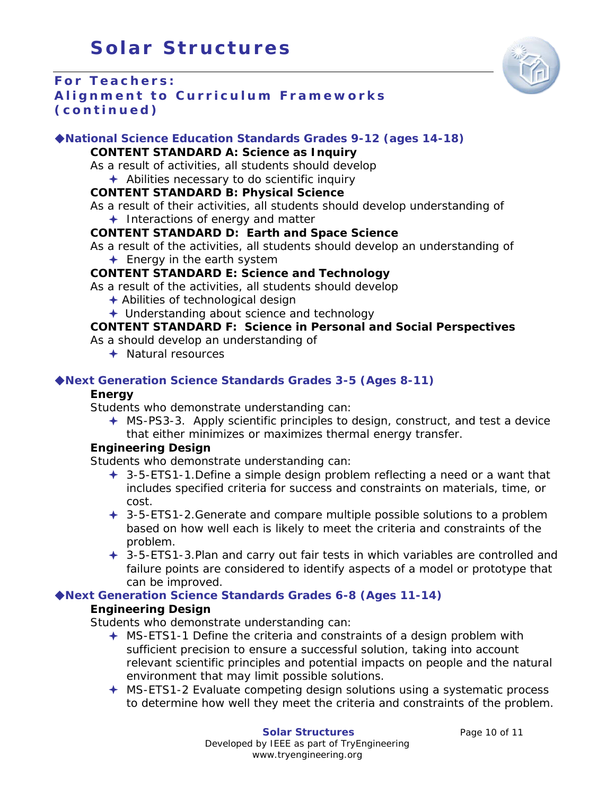

# **For Teachers: Alignment to Curriculum Frameworks (continued)**

#### **[National Science Education Standards](http://www.nap.edu/books/0309053269/html/index.html) Grades 9-12 (ages 14-18)**

#### **CONTENT STANDARD A: Science as Inquiry**

- As a result of activities, all students should develop
- $\triangle$  Abilities necessary to do scientific inquiry

#### **CONTENT STANDARD B: Physical Science**

As a result of their activities, all students should develop understanding of

 $+$  Interactions of energy and matter

#### **CONTENT STANDARD D: Earth and Space Science**

- As a result of the activities, all students should develop an understanding of
	- $\div$  Energy in the earth system

#### **CONTENT STANDARD E: Science and Technology**

As a result of the activities, all students should develop

- $\triangle$  Abilities of technological design
- **← Understanding about science and technology**

#### **CONTENT STANDARD F: Science in Personal and Social Perspectives**

As a should develop an understanding of

**← Natural resources** 

#### **Next Generation Science Standards Grades 3-5 (Ages 8-11)**

#### **Energy**

Students who demonstrate understanding can:

 $\div$  MS-PS3-3. Apply scientific principles to design, construct, and test a device that either minimizes or maximizes thermal energy transfer.

#### **Engineering Design**

Students who demonstrate understanding can:

- $\div$  3-5-ETS1-1. Define a simple design problem reflecting a need or a want that includes specified criteria for success and constraints on materials, time, or cost.
- $\div$  3-5-ETS1-2.Generate and compare multiple possible solutions to a problem based on how well each is likely to meet the criteria and constraints of the problem.
- 3-5-ETS1-3.Plan and carry out fair tests in which variables are controlled and failure points are considered to identify aspects of a model or prototype that can be improved.

## **Next Generation Science Standards Grades 6-8 (Ages 11-14)**

#### **Engineering Design**

Students who demonstrate understanding can:

- $\triangleq$  MS-ETS1-1 Define the criteria and constraints of a design problem with sufficient precision to ensure a successful solution, taking into account relevant scientific principles and potential impacts on people and the natural environment that may limit possible solutions.
- MS-ETS1-2 Evaluate competing design solutions using a systematic process to determine how well they meet the criteria and constraints of the problem.